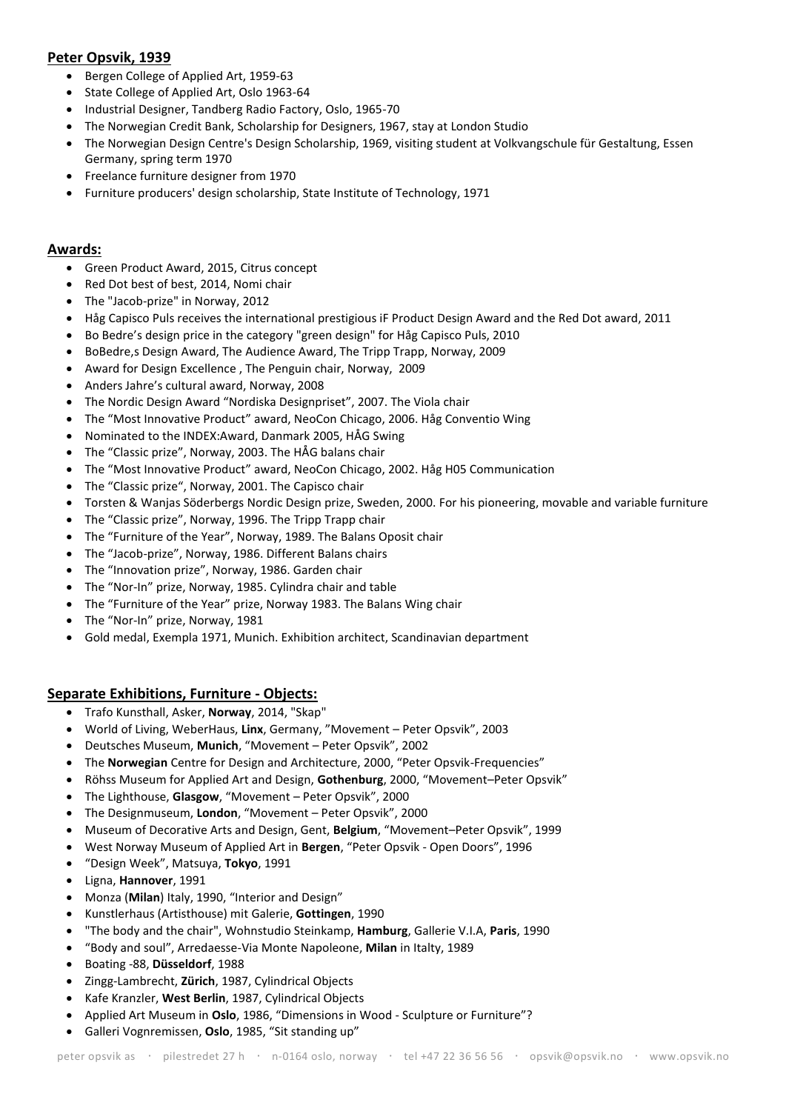# **Peter Opsvik, 1939**

- Bergen College of Applied Art, 1959-63
- State College of Applied Art, Oslo 1963-64
- Industrial Designer, Tandberg Radio Factory, Oslo, 1965-70
- The Norwegian Credit Bank, Scholarship for Designers, 1967, stay at London Studio
- The Norwegian Design Centre's Design Scholarship, 1969, visiting student at Volkvangschule für Gestaltung, Essen Germany, spring term 1970
- Freelance furniture designer from 1970
- Furniture producers' design scholarship, State Institute of Technology, 1971

#### **Awards:**

- Green Product Award, 2015, Citrus concept
- Red Dot best of best, 2014, Nomi chair
- The "Jacob-prize" in Norway, 2012
- Håg Capisco Puls receives the international prestigious iF Product Design Award and the Red Dot award, 2011
- Bo Bedre's design price in the category "green design" for Håg Capisco Puls, 2010
- BoBedre, s Design Award, The Audience Award, The Tripp Trapp, Norway, 2009
- Award for Design Excellence , The Penguin chair, Norway, 2009
- Anders Jahre's cultural award, Norway, 2008
- The Nordic Design Award "Nordiska Designpriset", 2007. The Viola chair
- The "Most Innovative Product" award, NeoCon Chicago, 2006. Håg Conventio Wing
- Nominated to the INDEX:Award, Danmark 2005, HÅG Swing
- The "Classic prize", Norway, 2003. The HÅG balans chair
- The "Most Innovative Product" award, NeoCon Chicago, 2002. Håg H05 Communication
- The "Classic prize", Norway, 2001. The Capisco chair
- Torsten & Wanjas Söderbergs Nordic Design prize, Sweden, 2000. For his pioneering, movable and variable furniture
- The "Classic prize", Norway, 1996. The Tripp Trapp chair
- The "Furniture of the Year", Norway, 1989. The Balans Oposit chair
- The "Jacob-prize", Norway, 1986. Different Balans chairs
- The "Innovation prize", Norway, 1986. Garden chair
- The "Nor-In" prize, Norway, 1985. Cylindra chair and table
- The "Furniture of the Year" prize, Norway 1983. The Balans Wing chair
- The "Nor-In" prize, Norway, 1981
- Gold medal, Exempla 1971, Munich. Exhibition architect, Scandinavian department

#### **Separate Exhibitions, Furniture - Objects:**

- Trafo Kunsthall, Asker, **Norway**, 2014, "Skap"
- World of Living, WeberHaus, **Linx**, Germany, "Movement Peter Opsvik", 2003
- Deutsches Museum, **Munich**, "Movement Peter Opsvik", 2002
- The **Norwegian** Centre for Design and Architecture, 2000, "Peter Opsvik-Frequencies"
- Röhss Museum for Applied Art and Design, **Gothenburg**, 2000, "Movement–Peter Opsvik"
- The Lighthouse, **Glasgow**, "Movement Peter Opsvik", 2000
- The Designmuseum, **London**, "Movement Peter Opsvik", 2000
- Museum of Decorative Arts and Design, Gent, **Belgium**, "Movement–Peter Opsvik", 1999
- West Norway Museum of Applied Art in **Bergen**, "Peter Opsvik Open Doors", 1996
- "Design Week", Matsuya, **Tokyo**, 1991
- Ligna, **Hannover**, 1991
- Monza (**Milan**) Italy, 1990, "Interior and Design"
- Kunstlerhaus (Artisthouse) mit Galerie, **Gottingen**, 1990
- "The body and the chair", Wohnstudio Steinkamp, **Hamburg**, Gallerie V.I.A, **Paris**, 1990
- "Body and soul", Arredaesse-Via Monte Napoleone, **Milan** in Italty, 1989
- Boating -88, **Düsseldorf**, 1988
- Zingg-Lambrecht, **Zürich**, 1987, Cylindrical Objects
- Kafe Kranzler, **West Berlin**, 1987, Cylindrical Objects
- Applied Art Museum in **Oslo**, 1986, "Dimensions in Wood Sculpture or Furniture"?
- Galleri Vognremissen, **Oslo**, 1985, "Sit standing up"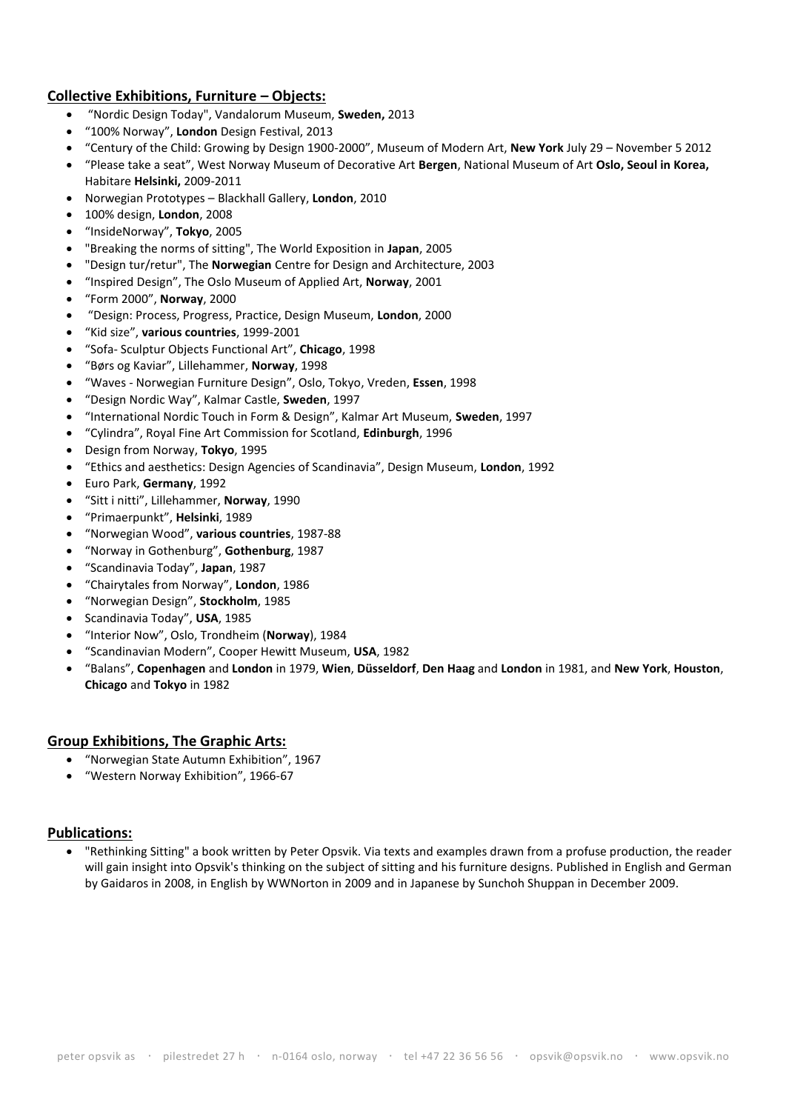# **Collective Exhibitions, Furniture – Objects:**

- "Nordic Design Today", Vandalorum Museum, **Sweden,** 2013
- "100% Norway", **London** Design Festival, 2013
- "Century of the Child: Growing by Design 1900-2000", Museum of Modern Art, **New York** July 29 November 5 2012
- "Please take a seat", West Norway Museum of Decorative Art **Bergen**, National Museum of Art **Oslo, Seoul in Korea,**  Habitare **Helsinki,** 2009-2011
- Norwegian Prototypes Blackhall Gallery, **London**, 2010
- 100% design, **London**, 2008
- "InsideNorway", **Tokyo**, 2005
- "Breaking the norms of sitting", The World Exposition in **Japan**, 2005
- "Design tur/retur", The **Norwegian** Centre for Design and Architecture, 2003
- "Inspired Design", The Oslo Museum of Applied Art, **Norway**, 2001
- "Form 2000", **Norway**, 2000
- "Design: Process, Progress, Practice, Design Museum, **London**, 2000
- "Kid size", **various countries**, 1999-2001
- "Sofa- Sculptur Objects Functional Art", **Chicago**, 1998
- "Børs og Kaviar", Lillehammer, **Norway**, 1998
- "Waves Norwegian Furniture Design", Oslo, Tokyo, Vreden, **Essen**, 1998
- "Design Nordic Way", Kalmar Castle, **Sweden**, 1997
- "International Nordic Touch in Form & Design", Kalmar Art Museum, **Sweden**, 1997
- "Cylindra", Royal Fine Art Commission for Scotland, **Edinburgh**, 1996
- Design from Norway, **Tokyo**, 1995
- "Ethics and aesthetics: Design Agencies of Scandinavia", Design Museum, **London**, 1992
- Euro Park, **Germany**, 1992
- "Sitt i nitti", Lillehammer, **Norway**, 1990
- "Primaerpunkt", **Helsinki**, 1989
- "Norwegian Wood", **various countries**, 1987-88
- "Norway in Gothenburg", **Gothenburg**, 1987
- "Scandinavia Today", **Japan**, 1987
- "Chairytales from Norway", **London**, 1986
- "Norwegian Design", **Stockholm**, 1985
- Scandinavia Today", **USA**, 1985
- "Interior Now", Oslo, Trondheim (**Norway**), 1984
- "Scandinavian Modern", Cooper Hewitt Museum, **USA**, 1982
- "Balans", **Copenhagen** and **London** in 1979, **Wien**, **Düsseldorf**, **Den Haag** and **London** in 1981, and **New York**, **Houston**, **Chicago** and **Tokyo** in 1982

## **Group Exhibitions, The Graphic Arts:**

- "Norwegian State Autumn Exhibition", 1967
- "Western Norway Exhibition", 1966-67

## **Publications:**

 "Rethinking Sitting" a book written by Peter Opsvik. Via texts and examples drawn from a profuse production, the reader will gain insight into Opsvik's thinking on the subject of sitting and his furniture designs. Published in English and German by Gaidaros in 2008, in English by WWNorton in 2009 and in Japanese by Sunchoh Shuppan in December 2009.